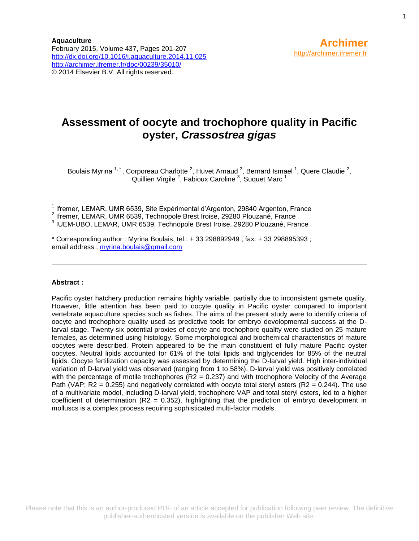### **Assessment of oocyte and trochophore quality in Pacific oyster,** *Crassostrea gigas*

Boulais Myrina  $1, 1$ , Corporeau Charlotte  $^2$ , Huvet Arnaud  $^2$ , Bernard Ismael  $^1$ , Quere Claudie  $^2$ , Quillien Virgile <sup>2</sup>, Fabioux Caroline  $3$ , Suquet Marc  $1$ 

<sup>1</sup> Ifremer, LEMAR, UMR 6539, Site Expérimental d'Argenton, 29840 Argenton, France

2 Ifremer, LEMAR, UMR 6539, Technopole Brest Iroise, 29280 Plouzané, France

3 IUEM-UBO, LEMAR, UMR 6539, Technopole Brest Iroise, 29280 Plouzané, France

\* Corresponding author : Myrina Boulais, tel.: + 33 298892949 ; fax: + 33 298895393 ; email address : [myrina.boulais@gmail.com](mailto:myrina.boulais@gmail.com)

#### **Abstract :**

Pacific oyster hatchery production remains highly variable, partially due to inconsistent gamete quality. However, little attention has been paid to oocyte quality in Pacific oyster compared to important vertebrate aquaculture species such as fishes. The aims of the present study were to identify criteria of oocyte and trochophore quality used as predictive tools for embryo developmental success at the Dlarval stage. Twenty-six potential proxies of oocyte and trochophore quality were studied on 25 mature females, as determined using histology. Some morphological and biochemical characteristics of mature oocytes were described. Protein appeared to be the main constituent of fully mature Pacific oyster oocytes. Neutral lipids accounted for 61% of the total lipids and triglycerides for 85% of the neutral lipids. Oocyte fertilization capacity was assessed by determining the D-larval yield. High inter-individual variation of D-larval yield was observed (ranging from 1 to 58%). D-larval yield was positively correlated with the percentage of motile trochophores  $(R2 = 0.237)$  and with trochophore Velocity of the Average Path (VAP;  $R2 = 0.255$ ) and negatively correlated with oocyte total steryl esters ( $R2 = 0.244$ ). The use of a multivariate model, including D-larval yield, trochophore VAP and total steryl esters, led to a higher coefficient of determination ( $R2 = 0.352$ ), highlighting that the prediction of embryo development in molluscs is a complex process requiring sophisticated multi-factor models.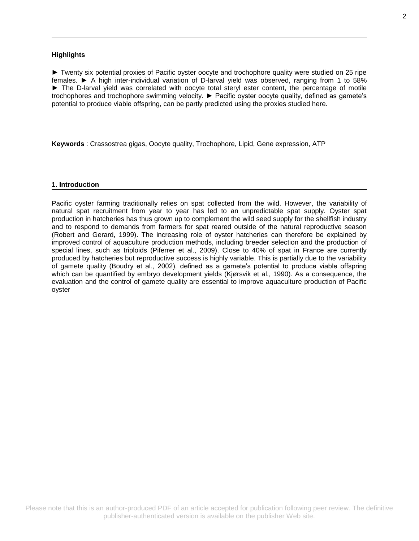#### **Highlights**

► Twenty six potential proxies of Pacific oyster oocyte and trochophore quality were studied on 25 ripe females. ► A high inter-individual variation of D-larval yield was observed, ranging from 1 to 58% ► The D-larval yield was correlated with oocyte total steryl ester content, the percentage of motile trochophores and trochophore swimming velocity. ► Pacific oyster oocyte quality, defined as gamete's potential to produce viable offspring, can be partly predicted using the proxies studied here.

**Keywords** : Crassostrea gigas, Oocyte quality, Trochophore, Lipid, Gene expression, ATP

#### **1. Introduction**

Pacific oyster farming traditionally relies on spat collected from the wild. However, the variability of natural spat recruitment from year to year has led to an unpredictable spat supply. Oyster spat production in hatcheries has thus grown up to complement the wild seed supply for the shellfish industry and to respond to demands from farmers for spat reared outside of the natural reproductive season (Robert and Gerard, 1999). The increasing role of oyster hatcheries can therefore be explained by improved control of aquaculture production methods, including breeder selection and the production of special lines, such as triploids (Piferrer et al., 2009). Close to 40% of spat in France are currently produced by hatcheries but reproductive success is highly variable. This is partially due to the variability of gamete quality (Boudry et al., 2002), defined as a gamete's potential to produce viable offspring which can be quantified by embryo development yields (Kjørsvik et al., 1990). As a consequence, the evaluation and the control of gamete quality are essential to improve aquaculture production of Pacific oyster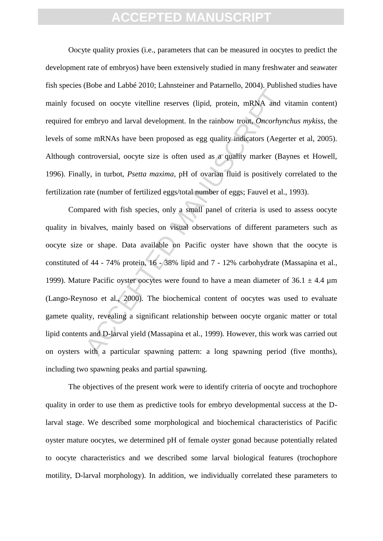Oocyte quality proxies (i.e., parameters that can be measured in oocytes to predict the development rate of embryos) have been extensively studied in many freshwater and seawater fish species (Bobe and Labbé 2010; Lahnsteiner and Patarnello, 2004). Published studies have mainly focused on oocyte vitelline reserves (lipid, protein, mRNA and vitamin content) required for embryo and larval development. In the rainbow trout, *Oncorhynchus mykiss*, the levels of some mRNAs have been proposed as egg quality indicators (Aegerter et al, 2005). Although controversial, oocyte size is often used as a quality marker (Baynes et Howell, 1996). Finally, in turbot, *Psetta maxima*, pH of ovarian fluid is positively correlated to the fertilization rate (number of fertilized eggs/total number of eggs; Fauvel et al., 1993).

example and the same transfer and same transfer and sead on oocyte vitelline reserves (lipid, protein, mRNA and v<br>embryo and larval development. In the rainbow trout, *Oncorhyn*,<br>me mRNAs have been proposed as egg quality Compared with fish species, only a small panel of criteria is used to assess oocyte quality in bivalves, mainly based on visual observations of different parameters such as oocyte size or shape. Data available on Pacific oyster have shown that the oocyte is constituted of 44 - 74% protein, 16 - 38% lipid and 7 - 12% carbohydrate (Massapina et al., 1999). Mature Pacific oyster oocytes were found to have a mean diameter of  $36.1 \pm 4.4$  µm (Lango-Reynoso et al., 2000). The biochemical content of oocytes was used to evaluate gamete quality, revealing a significant relationship between oocyte organic matter or total lipid contents and D-larval yield (Massapina et al., 1999)*.* However, this work was carried out on oysters with a particular spawning pattern: a long spawning period (five months), including two spawning peaks and partial spawning.

The objectives of the present work were to identify criteria of oocyte and trochophore quality in order to use them as predictive tools for embryo developmental success at the Dlarval stage. We described some morphological and biochemical characteristics of Pacific oyster mature oocytes, we determined pH of female oyster gonad because potentially related to oocyte characteristics and we described some larval biological features (trochophore motility, D-larval morphology). In addition, we individually correlated these parameters to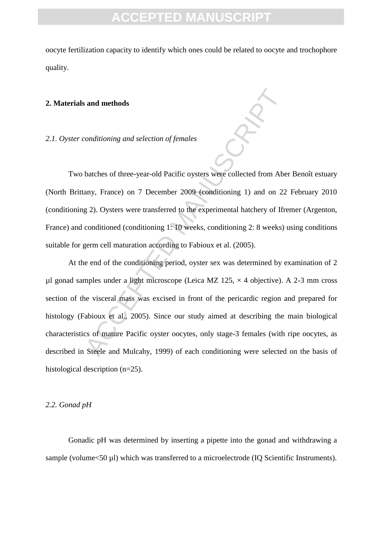oocyte fertilization capacity to identify which ones could be related to oocyte and trochophore quality.

### **2. Materials and methods**

### *2.1. Oyster conditioning and selection of females*

Two batches of three-year-old Pacific oysters were collected from Aber Benoît estuary (North Brittany, France) on 7 December 2009 (conditioning 1) and on 22 February 2010 (conditioning 2). Oysters were transferred to the experimental hatchery of Ifremer (Argenton, France) and conditioned (conditioning 1: 10 weeks, conditioning 2: 8 weeks) using conditions suitable for germ cell maturation according to Fabioux et al. (2005).

conditioning and selection of females<br>
conditioning and selection of females<br>
batches of three-year-old Pacific oysters were collected from Abe<br>
any, France) on 7 December 2009 (conditioning 1) and on 22<br>
g 2). Oysters wer At the end of the conditioning period, oyster sex was determined by examination of 2 µl gonad samples under a light microscope (Leica MZ 125,  $\times$  4 objective). A 2-3 mm cross section of the visceral mass was excised in front of the pericardic region and prepared for histology (Fabioux et al., 2005). Since our study aimed at describing the main biological characteristics of mature Pacific oyster oocytes, only stage-3 females (with ripe oocytes, as described in Steele and Mulcahy, 1999) of each conditioning were selected on the basis of histological description (n=25).

#### *2.2. Gonad pH*

Gonadic pH was determined by inserting a pipette into the gonad and withdrawing a sample (volume<50 µl) which was transferred to a microelectrode (IQ Scientific Instruments).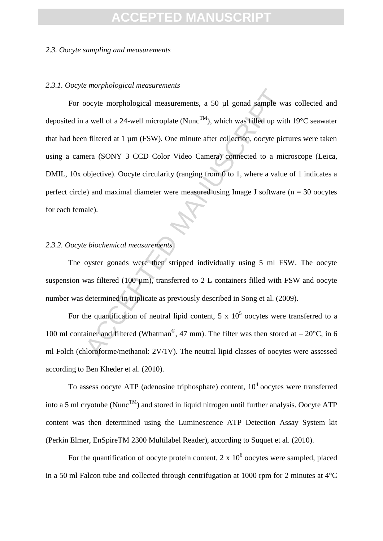### *2.3. Oocyte sampling and measurements*

### *2.3.1. Oocyte morphological measurements*

Example we a well of a 24-well microplate (Nunc<sup>TM</sup>), which was filled up wit<br>a well of a 24-well microplate (Nunc<sup>TM</sup>), which was filled up wit<br>n filtered at 1 µm (FSW). One minute after collection, oocyte pict<br>nera (SON For oocyte morphological measurements, a 50 µl gonad sample was collected and deposited in a well of a 24-well microplate (Nunc<sup>TM</sup>), which was filled up with 19°C seawater that had been filtered at 1 µm (FSW). One minute after collection, oocyte pictures were taken using a camera (SONY 3 CCD Color Video Camera) connected to a microscope (Leica, DMIL, 10x objective). Oocyte circularity (ranging from 0 to 1, where a value of 1 indicates a perfect circle) and maximal diameter were measured using Image J software ( $n = 30$  oocytes for each female).

### *2.3.2. Oocyte biochemical measurements*

The oyster gonads were then stripped individually using 5 ml FSW. The oocyte suspension was filtered (100  $\mu$ m), transferred to 2 L containers filled with FSW and oocyte number was determined in triplicate as previously described in Song et al. (2009).

For the quantification of neutral lipid content, 5 x  $10^5$  oocytes were transferred to a 100 ml container and filtered (Whatman®, 47 mm). The filter was then stored at  $-20^{\circ}$ C, in 6 ml Folch (chloroforme/methanol: 2V/1V). The neutral lipid classes of oocytes were assessed according to Ben Kheder et al. (2010).

To assess oocyte ATP (adenosine triphosphate) content,  $10<sup>4</sup>$  oocytes were transferred into a 5 ml cryotube (Nunc<sup>TM</sup>) and stored in liquid nitrogen until further analysis. Oocyte ATP content was then determined using the Luminescence ATP Detection Assay System kit (Perkin Elmer, EnSpireTM 2300 Multilabel Reader), according to Suquet et al. (2010).

For the quantification of oocyte protein content,  $2 \times 10^6$  oocytes were sampled, placed in a 50 ml Falcon tube and collected through centrifugation at 1000 rpm for 2 minutes at  $4^{\circ}$ C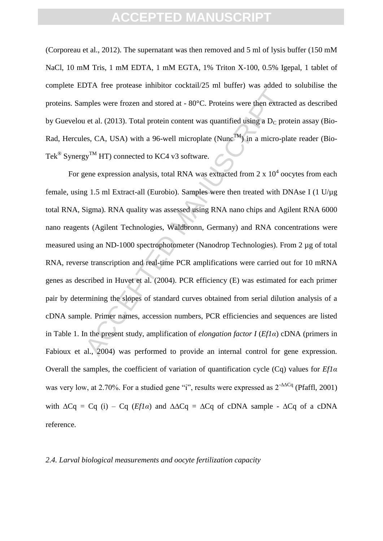(Corporeau et al., 2012). The supernatant was then removed and 5 ml of lysis buffer (150 mM NaCl, 10 mM Tris, 1 mM EDTA, 1 mM EGTA, 1% Triton X-100, 0.5% Igepal, 1 tablet of complete EDTA free protease inhibitor cocktail/25 ml buffer) was added to solubilise the proteins. Samples were frozen and stored at - 80°C. Proteins were then extracted as described by Guevelou et al. (2013). Total protein content was quantified using a  $D<sub>C</sub>$  protein assay (Bio-Rad, Hercules, CA, USA) with a 96-well microplate (Nunc<sup>TM</sup>) in a micro-plate reader (Bio-Tek<sup>®</sup> Synergy<sup>™</sup> HT) connected to KC4 v3 software.

Let the protation of all and stored at  $-80^{\circ}$ C. Proteins were then extracted at al. (2013). Total protein content was quantified using a D<sub>C</sub> protes, CA, USA) with a 96-well microplate (Nune<sup>TM</sup>) in a micro-pl<br>gy<sup>TM</sup> H For gene expression analysis, total RNA was extracted from 2 x  $10^4$  oocytes from each female, using 1.5 ml Extract-all (Eurobio). Samples were then treated with DNAse I (1  $U/\mu$ g total RNA, Sigma). RNA quality was assessed using RNA nano chips and Agilent RNA 6000 nano reagents (Agilent Technologies, Waldbronn, Germany) and RNA concentrations were measured using an ND-1000 spectrophotometer (Nanodrop Technologies). From 2 µg of total RNA, reverse transcription and real-time PCR amplifications were carried out for 10 mRNA genes as described in Huvet et al. (2004). PCR efficiency (E) was estimated for each primer pair by determining the slopes of standard curves obtained from serial dilution analysis of a cDNA sample. Primer names, accession numbers, PCR efficiencies and sequences are listed in Table 1. In the present study, amplification of *elongation factor I* (*Ef1α*) cDNA (primers in Fabioux et al., 2004) was performed to provide an internal control for gene expression. Overall the samples, the coefficient of variation of quantification cycle (Cq) values for *Ef1α* was very low, at 2.70%. For a studied gene "i", results were expressed as  $2^{-AACq}$  (Pfaffl, 2001) with  $\Delta Cq = Cq$  (i) – Cq (*Ef1a*) and  $\Delta \Delta Cq = \Delta Cq$  of cDNA sample -  $\Delta Cq$  of a cDNA reference.

### *2.4. Larval biological measurements and oocyte fertilization capacity*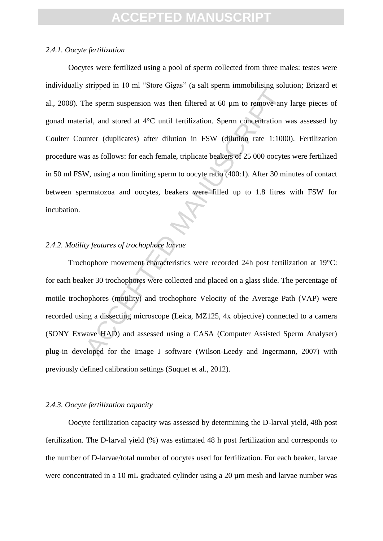### *2.4.1. Oocyte fertilization*

Energy and of the Manuscriter of the Hermannian Control and the sperm suspension was then filtered at 60 µm to remove any idal, and stored at 4°C until fertilization. Sperm concentration vanter (duplicates) after dilution Oocytes were fertilized using a pool of sperm collected from three males: testes were individually stripped in 10 ml "Store Gigas" (a salt sperm immobilising solution; Brizard et al., 2008). The sperm suspension was then filtered at 60 µm to remove any large pieces of gonad material, and stored at 4°C until fertilization. Sperm concentration was assessed by Coulter Counter (duplicates) after dilution in FSW (dilution rate 1:1000). Fertilization procedure was as follows: for each female, triplicate beakers of 25 000 oocytes were fertilized in 50 ml FSW, using a non limiting sperm to oocyte ratio (400:1). After 30 minutes of contact between spermatozoa and oocytes, beakers were filled up to 1.8 litres with FSW for incubation.

### *2.4.2. Motility features of trochophore larvae*

Trochophore movement characteristics were recorded 24h post fertilization at 19°C: for each beaker 30 trochophores were collected and placed on a glass slide. The percentage of motile trochophores (motility) and trochophore Velocity of the Average Path (VAP) were recorded using a dissecting microscope (Leica, MZ125, 4x objective) connected to a camera (SONY Exwave HAD) and assessed using a CASA (Computer Assisted Sperm Analyser) plug-in developed for the Image J software (Wilson-Leedy and Ingermann, 2007) with previously defined calibration settings (Suquet et al., 2012).

### *2.4.3. Oocyte fertilization capacity*

Oocyte fertilization capacity was assessed by determining the D-larval yield, 48h post fertilization. The D-larval yield (%) was estimated 48 h post fertilization and corresponds to the number of D-larvae/total number of oocytes used for fertilization. For each beaker, larvae were concentrated in a 10 mL graduated cylinder using a 20  $\mu$ m mesh and larvae number was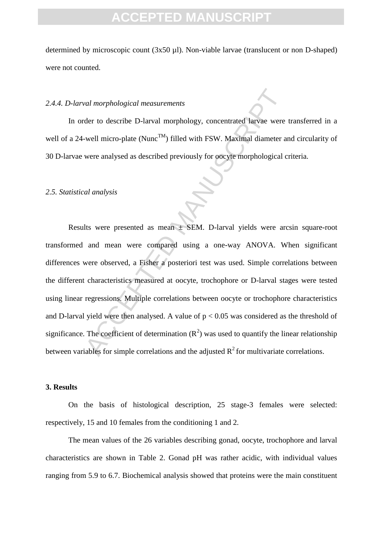determined by microscopic count (3x50 µl). Non-viable larvae (translucent or non D-shaped) were not counted.

### *2.4.4. D-larval morphological measurements*

In order to describe D-larval morphology, concentrated larvae were transferred in a well of a 24-well micro-plate (Nunc<sup>TM</sup>) filled with FSW. Maximal diameter and circularity of 30 D-larvae were analysed as described previously for oocyte morphological criteria.

#### *2.5. Statistical analysis*

*val morphological measurements*<br>der to describe D-larval morphology, concentrated larvae were<br>well micro-plate (Nunc<sup>TM</sup>) filled with FSW. Maximal diameter a<br>were analysed as described previously for oocyte morphological Results were presented as mean ± SEM. D-larval yields were arcsin square-root transformed and mean were compared using a one-way ANOVA. When significant differences were observed, a Fisher a posteriori test was used. Simple correlations between the different characteristics measured at oocyte, trochophore or D-larval stages were tested using linear regressions. Multiple correlations between oocyte or trochophore characteristics and D-larval yield were then analysed. A value of  $p < 0.05$  was considered as the threshold of significance. The coefficient of determination  $(R^2)$  was used to quantify the linear relationship between variables for simple correlations and the adjusted  $\mathbb{R}^2$  for multivariate correlations.

### **3. Results**

On the basis of histological description, 25 stage-3 females were selected: respectively, 15 and 10 females from the conditioning 1 and 2.

The mean values of the 26 variables describing gonad, oocyte, trochophore and larval characteristics are shown in Table 2. Gonad pH was rather acidic, with individual values ranging from 5.9 to 6.7. Biochemical analysis showed that proteins were the main constituent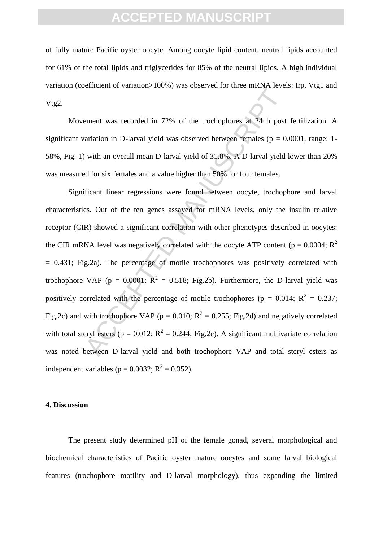of fully mature Pacific oyster oocyte. Among oocyte lipid content, neutral lipids accounted for 61% of the total lipids and triglycerides for 85% of the neutral lipids. A high individual variation (coefficient of variation>100%) was observed for three mRNA levels: Irp, Vtg1 and Vtg2.

Movement was recorded in 72% of the trochophores at 24 h post fertilization. A significant variation in D-larval yield was observed between females ( $p = 0.0001$ , range: 1-58%, Fig. 1) with an overall mean D-larval yield of 31.8%. A D-larval yield lower than 20% was measured for six females and a value higher than 50% for four females.

Example 12.1 and 12.1 and 12.1 and 12.1 and 12.1 and 12.1 and 12.1 and 12.1 and 12.1 and 12.1 and 12.1 and 12.1 and 12.1 and 12.1 and 12.1 and 12.1 and 12.1 and 12.1 and 12.1 and 12.1 and 12.1 and 12.1 and 12.1 and 12.1 a Significant linear regressions were found between oocyte, trochophore and larval characteristics. Out of the ten genes assayed for mRNA levels, only the insulin relative receptor (CIR) showed a significant correlation with other phenotypes described in oocytes: the CIR mRNA level was negatively correlated with the oocyte ATP content ( $p = 0.0004$ ; R<sup>2</sup>  $= 0.431$ ; Fig.2a). The percentage of motile trochophores was positively correlated with trochophore VAP ( $p = 0.0001$ ;  $R^2 = 0.518$ ; Fig.2b). Furthermore, the D-larval yield was positively correlated with the percentage of motile trochophores ( $p = 0.014$ ;  $R^2 = 0.237$ ; Fig.2c) and with trochophore VAP ( $p = 0.010$ ;  $R^2 = 0.255$ ; Fig.2d) and negatively correlated with total steryl esters ( $p = 0.012$ ;  $R^2 = 0.244$ ; Fig.2e). A significant multivariate correlation was noted between D-larval yield and both trochophore VAP and total steryl esters as independent variables ( $p = 0.0032$ ;  $R^2 = 0.352$ ).

### **4. Discussion**

The present study determined pH of the female gonad, several morphological and biochemical characteristics of Pacific oyster mature oocytes and some larval biological features (trochophore motility and D-larval morphology), thus expanding the limited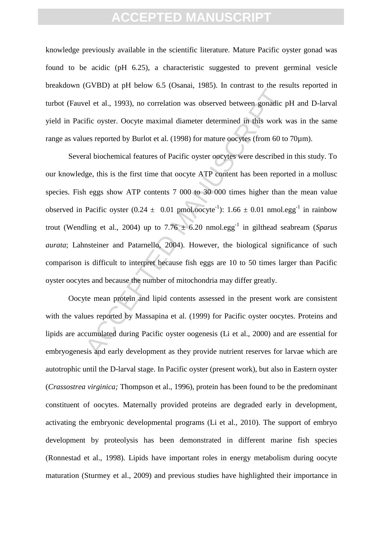knowledge previously available in the scientific literature. Mature Pacific oyster gonad was found to be acidic (pH 6.25), a characteristic suggested to prevent germinal vesicle breakdown (GVBD) at pH below 6.5 (Osanai, 1985). In contrast to the results reported in turbot (Fauvel et al., 1993), no correlation was observed between gonadic pH and D-larval yield in Pacific oyster. Oocyte maximal diameter determined in this work was in the same range as values reported by Burlot et al. (1998) for mature oocytes (from 60 to 70µm).

EVENTAL THE COMMIN VACES IN TRIMINAL PART<br>
el et al., 1993), no correlation was observed between gonadic price ovster. Oocyte maximal diameter determined in this work v<br>
es reported by Burlot et al. (1998) for mature oocy Several biochemical features of Pacific oyster oocytes were described in this study. To our knowledge, this is the first time that oocyte ATP content has been reported in a mollusc species. Fish eggs show ATP contents 7 000 to 30 000 times higher than the mean value observed in Pacific oyster  $(0.24 \pm 0.01 \text{ pmol.oocyte}^{-1})$ : 1.66  $\pm$  0.01 nmol.egg<sup>-1</sup> in rainbow trout (Wendling et al., 2004) up to  $7.76 \pm 6.20$  nmol.egg<sup>-1</sup> in gilthead seabream (*Sparus aurata*; Lahnsteiner and Patarnello, 2004). However, the biological significance of such comparison is difficult to interpret because fish eggs are 10 to 50 times larger than Pacific oyster oocytes and because the number of mitochondria may differ greatly.

Oocyte mean protein and lipid contents assessed in the present work are consistent with the values reported by Massapina et al. (1999) for Pacific oyster oocytes. Proteins and lipids are accumulated during Pacific oyster oogenesis (Li et al., 2000) and are essential for embryogenesis and early development as they provide nutrient reserves for larvae which are autotrophic until the D-larval stage. In Pacific oyster (present work), but also in Eastern oyster (*Crassostrea virginica;* Thompson et al., 1996), protein has been found to be the predominant constituent of oocytes. Maternally provided proteins are degraded early in development, activating the embryonic developmental programs (Li et al., 2010). The support of embryo development by proteolysis has been demonstrated in different marine fish species (Ronnestad et al., 1998). Lipids have important roles in energy metabolism during oocyte maturation (Sturmey et al., 2009) and previous studies have highlighted their importance in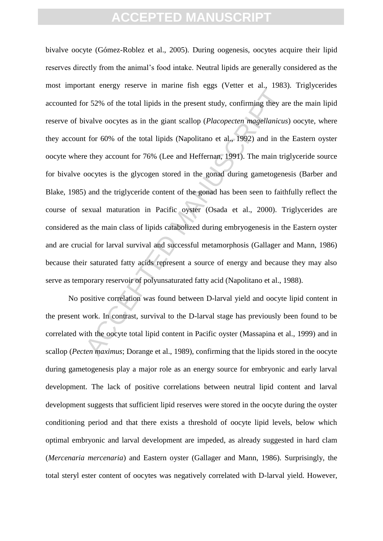$\mu$ man  $\mu$ man  $\mu$ man  $\mu$ man  $\mu$ man  $\mu$ man  $\mu$ man  $\mu$ man  $\mu$ man  $\mu$ man  $\mu$ man  $\mu$ man  $\mu$ man  $\mu$ man  $\mu$ man  $\mu$ man  $\mu$ man  $\mu$ man  $\mu$ man  $\mu$ man  $\mu$ man  $\mu$ man  $\mu$ man  $\mu$ man  $\mu$ man  $\mu$ man  $\mu$ man  $\mu$ m bivalve oocyte (Gómez-Roblez et al., 2005). During oogenesis, oocytes acquire their lipid reserves directly from the animal's food intake. Neutral lipids are generally considered as the most important energy reserve in marine fish eggs (Vetter et al., 1983). Triglycerides accounted for 52% of the total lipids in the present study, confirming they are the main lipid reserve of bivalve oocytes as in the giant scallop (*Placopecten magellanicus*) oocyte, where they account for 60% of the total lipids (Napolitano et al., 1992) and in the Eastern oyster oocyte where they account for 76% (Lee and Heffernan, 1991). The main triglyceride source for bivalve oocytes is the glycogen stored in the gonad during gametogenesis (Barber and Blake, 1985) and the triglyceride content of the gonad has been seen to faithfully reflect the course of sexual maturation in Pacific oyster (Osada et al., 2000). Triglycerides are considered as the main class of lipids catabolized during embryogenesis in the Eastern oyster and are crucial for larval survival and successful metamorphosis (Gallager and Mann, 1986) because their saturated fatty acids represent a source of energy and because they may also serve as temporary reservoir of polyunsaturated fatty acid (Napolitano et al., 1988).

No positive correlation was found between D-larval yield and oocyte lipid content in the present work. In contrast, survival to the D-larval stage has previously been found to be correlated with the oocyte total lipid content in Pacific oyster (Massapina et al., 1999) and in scallop (*Pecten maximus*; Dorange et al., 1989), confirming that the lipids stored in the oocyte during gametogenesis play a major role as an energy source for embryonic and early larval development. The lack of positive correlations between neutral lipid content and larval development suggests that sufficient lipid reserves were stored in the oocyte during the oyster conditioning period and that there exists a threshold of oocyte lipid levels, below which optimal embryonic and larval development are impeded, as already suggested in hard clam (*Mercenaria mercenaria*) and Eastern oyster (Gallager and Mann, 1986). Surprisingly, the total steryl ester content of oocytes was negatively correlated with D-larval yield. However,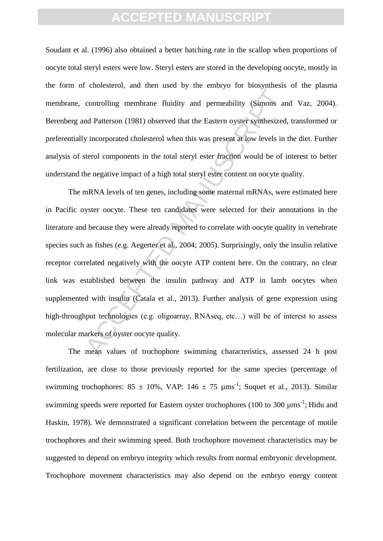Soudant et al. (1996) also obtained a better hatching rate in the scallop when proportions of oocyte total steryl esters were low. Steryl esters are stored in the developing oocyte, mostly in the form of cholesterol, and then used by the embryo for biosynthesis of the plasma membrane, controlling membrane fluidity and permeability (Simons and Vaz, 2004). Berenberg and Patterson (1981) observed that the Eastern oyster synthesized, transformed or preferentially incorporated cholesterol when this was present at low levels in the diet. Further analysis of sterol components in the total steryl ester fraction would be of interest to better understand the negative impact of a high total steryl ester content on oocyte quality.

Early and the times of the times of the symman<br>controlling membrane fluidity and permeability (Simons are<br>and Patterson (1981) observed that the Eastern oyster synthesized<br>vincorporated cholesterol when this was present at The mRNA levels of ten genes, including some maternal mRNAs, were estimated here in Pacific oyster oocyte. These ten candidates were selected for their annotations in the literature and because they were already reported to correlate with oocyte quality in vertebrate species such as fishes (e.g. Aegerter et al., 2004; 2005). Surprisingly, only the insulin relative receptor correlated negatively with the oocyte ATP content here. On the contrary, no clear link was established between the insulin pathway and ATP in lamb oocytes when supplemented with insulin (Catala et al., 2013). Further analysis of gene expression using high-throughput technologies (e.g. oligoarray, RNAseq, etc...) will be of interest to assess molecular markers of oyster oocyte quality.

The mean values of trochophore swimming characteristics, assessed 24 h post fertilization, are close to those previously reported for the same species (percentage of swimming trochophores: 85  $\pm$  10%, VAP: 146  $\pm$  75  $\mu$ ms<sup>-1</sup>; Suquet et al., 2013). Similar swimming speeds were reported for Eastern oyster trochophores (100 to 300  $\mu$ ms<sup>-1</sup>; Hidu and Haskin, 1978). We demonstrated a significant correlation between the percentage of motile trochophores and their swimming speed. Both trochophore movement characteristics may be suggested to depend on embryo integrity which results from normal embryonic development. Trochophore movement characteristics may also depend on the embryo energy content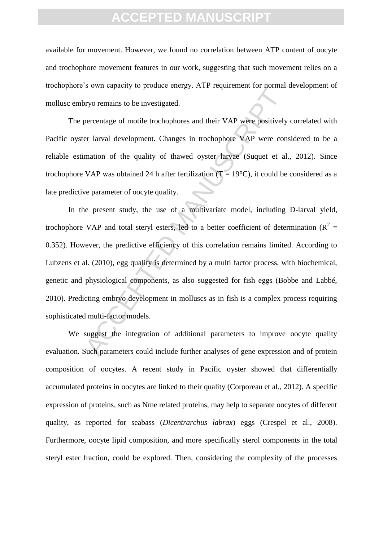available for movement. However, we found no correlation between ATP content of oocyte and trochophore movement features in our work, suggesting that such movement relies on a trochophore's own capacity to produce energy. ATP requirement for normal development of mollusc embryo remains to be investigated.

The percentage of motile trochophores and their VAP were positively correlated with Pacific oyster larval development. Changes in trochophore VAP were considered to be a reliable estimation of the quality of thawed oyster larvae (Suquet et al., 2012). Since trochophore VAP was obtained 24 h after fertilization ( $T = 19^{\circ}$ C), it could be considered as a late predictive parameter of oocyte quality.

between the investigated.<br>
Dercentage of motile trochophores and their VAP were positively<br>
percentage of motile trochophores and their VAP were contractively<br>
are commation of the quality of thawed oyster Jarvae (Suquet In the present study, the use of a multivariate model, including D-larval yield, trochophore VAP and total steryl esters, led to a better coefficient of determination ( $R^2 =$ 0.352). However, the predictive efficiency of this correlation remains limited. According to Lubzens et al. (2010), egg quality is determined by a multi factor process, with biochemical, genetic and physiological components, as also suggested for fish eggs (Bobbe and Labbé, 2010). Predicting embryo development in molluscs as in fish is a complex process requiring sophisticated multi-factor models.

We suggest the integration of additional parameters to improve oocyte quality evaluation. Such parameters could include further analyses of gene expression and of protein composition of oocytes. A recent study in Pacific oyster showed that differentially accumulated proteins in oocytes are linked to their quality (Corporeau et al., 2012). A specific expression of proteins, such as Nme related proteins, may help to separate oocytes of different quality, as reported for seabass (*Dicentrarchus labrax*) eggs (Crespel et al., 2008). Furthermore, oocyte lipid composition, and more specifically sterol components in the total steryl ester fraction, could be explored. Then, considering the complexity of the processes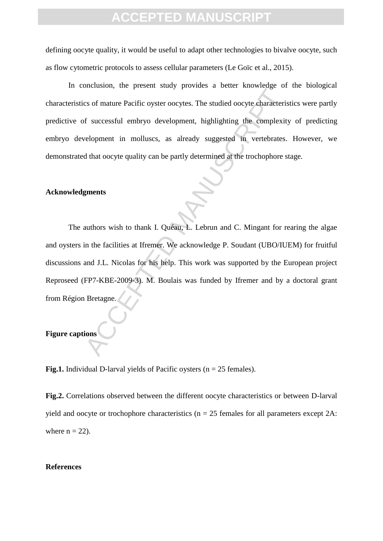defining oocyte quality, it would be useful to adapt other technologies to bivalve oocyte, such as flow cytometric protocols to assess cellular parameters (Le Goïc et al., 2015).

In conclusion, the present study provides a better knowledge of the biological characteristics of mature Pacific oyster oocytes. The studied oocyte characteristics were partly predictive of successful embryo development, highlighting the complexity of predicting embryo development in molluscs, as already suggested in vertebrates. However, we demonstrated that oocyte quality can be partly determined at the trochophore stage.

#### **Acknowledgments**

ACCESS TO THE TRANSPORTED A LATER INTERFERIT CONTINUES.<br>
So of mature Pacific oyster occytes. The studied occyte characterisf successful embryo development, highlighting the complexit<br>
relopment in molluscs, as already sug The authors wish to thank I. Quéau, L. Lebrun and C. Mingant for rearing the algae and oysters in the facilities at Ifremer. We acknowledge P. Soudant (UBO/IUEM) for fruitful discussions and J.L. Nicolas for his help. This work was supported by the European project Reproseed (FP7-KBE-2009-3). M. Boulais was funded by Ifremer and by a doctoral grant from Région Bretagne.

### **Figure captions**

**Fig.1.** Individual D-larval yields of Pacific oysters ( $n = 25$  females).

**Fig.2.** Correlations observed between the different oocyte characteristics or between D-larval yield and oocyte or trochophore characteristics ( $n = 25$  females for all parameters except 2A: where  $n = 22$ ).

#### **References**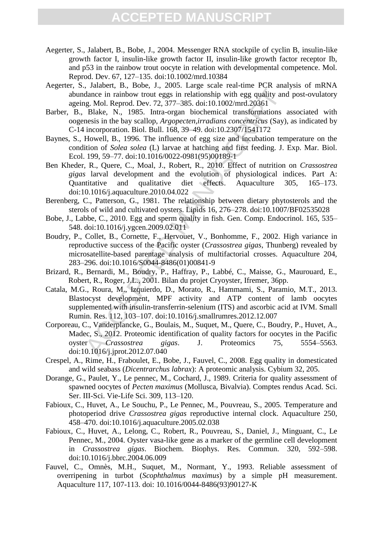- Aegerter, S., Jalabert, B., Bobe, J., 2004. Messenger RNA stockpile of cyclin B, insulin-like growth factor I, insulin-like growth factor II, insulin-like growth factor receptor Ib, and p53 in the rainbow trout oocyte in relation with developmental competence. Mol. Reprod. Dev. 67, 127–135. doi:10.1002/mrd.10384
- Aegerter, S., Jalabert, B., Bobe, J., 2005. Large scale real-time PCR analysis of mRNA abundance in rainbow trout eggs in relationship with egg quality and post-ovulatory ageing. Mol. Reprod. Dev. 72, 377–385. doi:10.1002/mrd.20361
- Barber, B., Blake, N., 1985. Intra-organ biochemical transformations associated with oogenesis in the bay scallop, *Argopecten,irradians concentricus* (Say), as indicated by C-14 incorporation. Biol. Bull. 168, 39–49. doi:10.2307/1541172
- Baynes, S., Howell, B., 1996. The influence of egg size and incubation temperature on the condition of *Solea solea* (L) larvae at hatching and first feeding. J. Exp. Mar. Biol. Ecol. 199, 59–77. doi:10.1016/0022-0981(95)00189-1
- Ben Kheder, R., Quere, C., Moal, J., Robert, R., 2010. Effect of nutrition on *Crassostrea gigas* larval development and the evolution of physiological indices. Part A: Quantitative and qualitative diet effects. Aquaculture 305, 165–173. doi:10.1016/j.aquaculture.2010.04.022
- Berenberg, C., Patterson, G., 1981. The relationship between dietary phytosterols and the sterols of wild and cultivated oysters. Lipids 16, 276–278. doi:10.1007/BF02535028
- Bobe, J., Labbe, C., 2010. Egg and sperm quality in fish. Gen. Comp. Endocrinol. 165, 535– 548. doi:10.1016/j.ygcen.2009.02.011
- Boudry, P., Collet, B., Cornette, F., Hervouet, V., Bonhomme, F., 2002. High variance in reproductive success of the Pacific oyster (*Crassostrea gigas*, Thunberg) revealed by microsatellite-based parentage analysis of multifactorial crosses. Aquaculture 204, 283–296. doi:10.1016/S0044-8486(01)00841-9
- Brizard, R., Bernardi, M., Boudry, P., Haffray, P., Labbé, C., Maisse, G., Maurouard, E., Robert, R., Roger, J.L., 2001. Bilan du projet Cryoyster, Ifremer, 36pp.
- Catala, M.G., Roura, M., Izquierdo, D., Morato, R., Hammami, S., Paramio, M.T., 2013. Blastocyst development, MPF activity and ATP content of lamb oocytes supplemented with insulin-transferrin-selenium (ITS) and ascorbic acid at IVM. Small Rumin. Res. 112, 103–107. doi:10.1016/j.smallrumres.2012.12.007
- annee in rainbow trout eggs in relationship with egg quality and<br>
adance in rainbow trout eggs in relationship with egg quality and<br>
Blake, N. 1985. Intra-organ biochemical transformations<br>
Blake, N. 1985. Intra-organ bioc Corporeau, C., Vanderplancke, G., Boulais, M., Suquet, M., Quere, C., Boudry, P., Huvet, A., Madec, S., 2012. Proteomic identification of quality factors for oocytes in the Pacific oyster *Crassostrea gigas*. J. Proteomics 75, 5554–5563. doi:10.1016/j.jprot.2012.07.040
- Crespel, A., Rime, H., Fraboulet, E., Bobe, J., Fauvel, C., 2008. Egg quality in domesticated and wild seabass (*Dicentrarchus labrax*): A proteomic analysis. Cybium 32, 205.
- Dorange, G., Paulet, Y., Le pennec, M., Cochard, J., 1989. Criteria for quality assessment of spawned oocytes of *Pecten maximus* (Mollusca, Bivalvia). Comptes rendus Acad. Sci. Ser. III-Sci. Vie-Life Sci. 309, 113–120.
- Fabioux, C., Huvet, A., Le Souchu, P., Le Pennec, M., Pouvreau, S., 2005. Temperature and photoperiod drive *Crassostrea gigas* reproductive internal clock. Aquaculture 250, 458–470. doi:10.1016/j.aquaculture.2005.02.038
- Fabioux, C., Huvet, A., Lelong, C., Robert, R., Pouvreau, S., Daniel, J., Minguant, C., Le Pennec, M., 2004. Oyster vasa-like gene as a marker of the germline cell development in *Crassostrea gigas*. Biochem. Biophys. Res. Commun. 320, 592–598. doi:10.1016/j.bbrc.2004.06.009
- Fauvel, C., Omnès, M.H., Suquet, M., Normant, Y., 1993. Reliable assessment of overripening in turbot (*Scophthalmus maximus*) by a simple pH measurement. Aquaculture 117, 107-113. doi: 10.1016/0044-8486(93)90127-K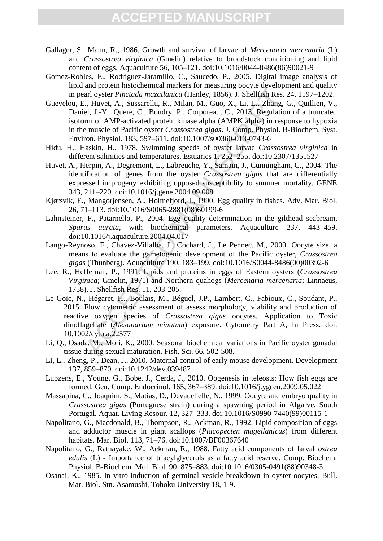- Gallager, S., Mann, R., 1986. Growth and survival of larvae of *Mercenaria mercenaria* (L) and *Crassostrea virginica* (Gmelin) relative to broodstock conditioning and lipid content of eggs. Aquaculture 56, 105–121. doi:10.1016/0044-8486(86)90021-9
- Gómez-Robles, E., Rodriguez-Jaramillo, C., Saucedo, P., 2005. Digital image analysis of lipid and protein histochemical markers for measuring oocyte development and quality in pearl oyster *Pinctada mazatlanica* (Hanley, 1856). J. Shellfish Res. 24, 1197–1202.
- Guevelou, E., Huvet, A., Sussarellu, R., Milan, M., Guo, X., Li, L., Zhang, G., Quillien, V., Daniel, J.-Y., Quere, C., Boudry, P., Corporeau, C., 2013. Regulation of a truncated isoform of AMP-activated protein kinase alpha (AMPK alpha) in response to hypoxia in the muscle of Pacific oyster *Crassostrea gigas*. J. Comp. Physiol. B-Biochem. Syst. Environ. Physiol. 183, 597–611. doi:10.1007/s00360-013-0743-6
- Hidu, H., Haskin, H., 1978. Swimming speeds of oyster larvae *Crassostrea virginica* in different salinities and temperatures. Estuaries 1, 252–255. doi:10.2307/1351527
- Huvet, A., Herpin, A., Degremont, L., Labreuche, Y., Samain, J., Cunningham, C., 2004. The identification of genes from the oyster *Crassostrea gigas* that are differentially expressed in progeny exhibiting opposed susceptibility to summer mortality. GENE 343, 211–220. doi:10.1016/j.gene.2004.09.008
- Kjørsvik, E., Mangorjensen, A., Holmefjord, I., 1990. Egg quality in fishes. Adv. Mar. Biol. 26, 71–113. doi:10.1016/S0065-2881(08)60199-6
- Lahnsteiner, F., Patarnello, P., 2004. Egg quality determination in the gilthead seabream, *Sparus aurata*, with biochemical parameters. Aquaculture 237, 443–459. doi:10.1016/j.aquaculture.2004.04.017
- Lango-Reynoso, F., Chavez-Villalba, J., Cochard, J., Le Pennec, M., 2000. Oocyte size, a means to evaluate the gametogenic development of the Pacific oyster, *Crassostrea gigas* (Thunberg). Aquaculture 190, 183–199. doi:10.1016/S0044-8486(00)00392-6
- Lee, R., Heffernan, P., 1991. Lipids and proteins in eggs of Eastern oysters (*Crassostrea Virginica*; Gmelin, 1971) and Northern quahogs (*Mercenaria mercenaria*; Linnaeus, 1758). J. Shellfish Res. 11, 203-205.
- arl oyster Pinctada mazarlanica (Hanley, 1856). J. Shellfish Res.<br>
2., Huvet, A., Sussarellu, R., Milan, M., Guo, X., Li, L., Zhang, G., 1, L., Zhang, C., 1, L., Zhang, M., Guo, X., Li, L., Zhang, C., 2013, Regulatior<br>
e.l Le Goïc, N., Hégaret, H., Boulais, M., Béguel, J.P., Lambert, C., Fabioux, C., Soudant, P., 2015. Flow cytometric assessment of assess morphology, viability and production of reactive oxygen species of *Crassostrea gigas* oocytes. Application to Toxic dinoflagellate (*Alexandrium minutum*) exposure. Cytometry Part A, In Press. doi: 10.1002/cyto.a.22577
- Li, Q., Osada, M., Mori, K., 2000. Seasonal biochemical variations in Pacific oyster gonadal tissue during sexual maturation. Fish. Sci. 66, 502-508.
- Li, L., Zheng, P., Dean, J., 2010. Maternal control of early mouse development. Development 137, 859–870. doi:10.1242/dev.039487
- Lubzens, E., Young, G., Bobe, J., Cerda, J., 2010. Oogenesis in teleosts: How fish eggs are formed. Gen. Comp. Endocrinol. 165, 367–389. doi:10.1016/j.ygcen.2009.05.022
- Massapina, C., Joaquim, S., Matias, D., Devauchelle, N., 1999. Oocyte and embryo quality in *Crassostrea gigas* (Portuguese strain) during a spawning period in Algarve, South Portugal. Aquat. Living Resour. 12, 327–333. doi:10.1016/S0990-7440(99)00115-1
- Napolitano, G., Macdonald, B., Thompson, R., Ackman, R., 1992. Lipid composition of eggs and adductor muscle in giant scallops (*Placopecten magellanicus*) from different habitats. Mar. Biol. 113, 71–76. doi:10.1007/BF00367640
- Napolitano, G., Ratnayake, W., Ackman, R., 1988. Fatty acid components of larval *ostrea edulis* (L) - Importance of triacylglycerols as a fatty acid reserve. Comp. Biochem. Physiol. B-Biochem. Mol. Biol. 90, 875–883. doi:10.1016/0305-0491(88)90348-3
- Osanai, K., 1985. In vitro induction of germinal vesicle breakdown in oyster oocytes. Bull. Mar. Biol. Stn. Asamushi, Tohoku University 18, 1-9.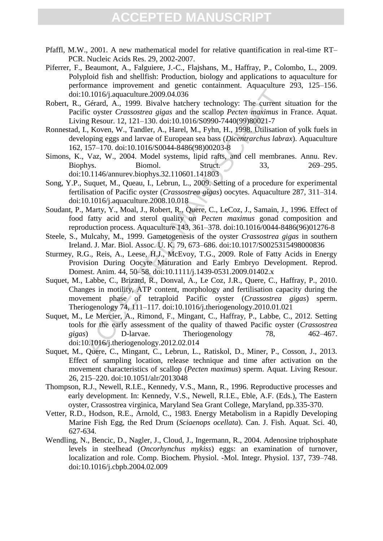- Pfaffl, M.W., 2001. A new mathematical model for relative quantification in real-time RT– PCR. Nucleic Acids Res. 29, 2002-2007.
- Piferrer, F., Beaumont, A., Falguiere, J.-C., Flajshans, M., Haffray, P., Colombo, L., 2009. Polyploid fish and shellfish: Production, biology and applications to aquaculture for performance improvement and genetic containment. Aquaculture 293, 125–156. doi:10.1016/j.aquaculture.2009.04.036
- Robert, R., Gérard, A., 1999. Bivalve hatchery technology: The current situation for the Pacific oyster *Crassostrea gigas* and the scallop *Pecten maximus* in France. Aquat. Living Resour. 12, 121–130. doi:10.1016/S0990-7440(99)80021-7
- Ronnestad, I., Koven, W., Tandler, A., Harel, M., Fyhn, H., 1998. Utilisation of yolk fuels in developing eggs and larvae of European sea bass (*Dicentrarchus labrax*). Aquaculture 162, 157–170. doi:10.1016/S0044-8486(98)00203-8
- Simons, K., Vaz, W., 2004. Model systems, lipid rafts, and cell membranes. Annu. Rev. Biophys. Biomol. Struct. 33, 269–295. doi:10.1146/annurev.biophys.32.110601.141803
- Song, Y.P., Suquet, M., Queau, I., Lebrun, L., 2009. Setting of a procedure for experimental fertilisation of Pacific oyster (*Crassostrea gigas*) oocytes. Aquaculture 287, 311–314. doi:10.1016/j.aquaculture.2008.10.018
- Soudant, P., Marty, Y., Moal, J., Robert, R., Quere, C., LeCoz, J., Samain, J., 1996. Effect of food fatty acid and sterol quality on *Pecten maximus* gonad composition and reproduction process. Aquaculture 143, 361–378. doi:10.1016/0044-8486(96)01276-8
- Steele, S., Mulcahy, M., 1999. Gametogenesis of the oyster *Crassostrea gigas* in southern Ireland. J. Mar. Biol. Assoc. U. K. 79, 673–686. doi:10.1017/S0025315498000836
- Sturmey, R.G., Reis, A., Leese, H.J., McEvoy, T.G., 2009. Role of Fatty Acids in Energy Provision During Oocyte Maturation and Early Embryo Development. Reprod. Domest. Anim. 44, 50–58. doi:10.1111/j.1439-0531.2009.01402.x
- Suquet, M., Labbe, C., Brizard, R., Donval, A., Le Coz, J.R., Quere, C., Haffray, P., 2010. Changes in motility, ATP content, morphology and fertilisation capacity during the movement phase of tetraploid Pacific oyster (*Crassostrea gigas*) sperm. Theriogenology 74, 111–117. doi:10.1016/j.theriogenology.2010.01.021
- 0.1016/j.aquaculture.2009.04.036<br>
Gérard, A., 1999. Bivalve hatchery technology: The current sic oyster Cranssostrear gigas and the scalibp Pecter nacaimus in g Resour. 12, 121-130. doi:10.1016/S0990-7440(99)80021-7<br>
L, K Suquet, M., Le Mercier, A., Rimond, F., Mingant, C., Haffray, P., Labbe, C., 2012. Setting tools for the early assessment of the quality of thawed Pacific oyster (*Crassostrea gigas*) D-larvae. Theriogenology 78, 462–467. doi:10.1016/j.theriogenology.2012.02.014
- Suquet, M., Quere, C., Mingant, C., Lebrun, L., Ratiskol, D., Miner, P., Cosson, J., 2013. Effect of sampling location, release technique and time after activation on the movement characteristics of scallop (*Pecten maximus*) sperm. Aquat. Living Resour. 26, 215–220. doi:10.1051/alr/2013048
- Thompson, R.J., Newell, R.I.E., Kennedy, V.S., Mann, R., 1996. Reproductive processes and early development. In: Kennedy, V.S., Newell, R.I.E., Eble, A.F. (Eds.), The Eastern oyster, Crassostrea virginica, Maryland Sea Grant College, Maryland, pp.335-370.
- Vetter, R.D., Hodson, R.E., Arnold, C., 1983. Energy Metabolism in a Rapidly Developing Marine Fish Egg, the Red Drum (*Sciaenops ocellata*). Can. J. Fish. Aquat. Sci. 40, 627-634.
- Wendling, N., Bencic, D., Nagler, J., Cloud, J., Ingermann, R., 2004. Adenosine triphosphate levels in steelhead (*Oncorhynchus mykiss*) eggs: an examination of turnover, localization and role. Comp. Biochem. Physiol. -Mol. Integr. Physiol. 137, 739–748. doi:10.1016/j.cbpb.2004.02.009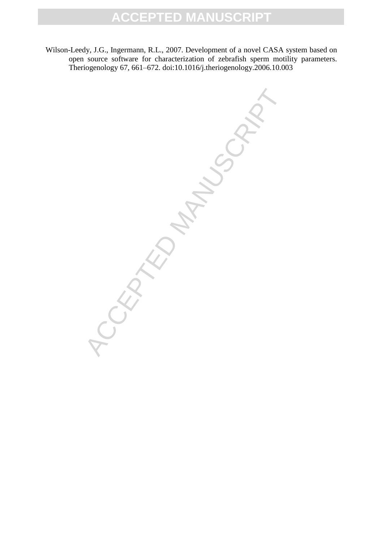Wilson-Leedy, J.G., Ingermann, R.L., 2007. Development of a novel CASA system based on open source software for characterization of zebrafish sperm motility parameters. Theriogenology 67, 661–672. doi:10.1016/j.theriogenology.2006.10.003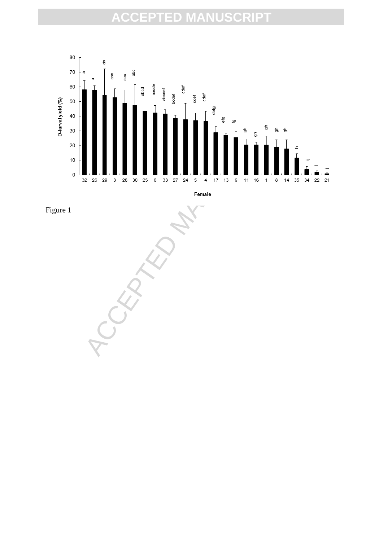



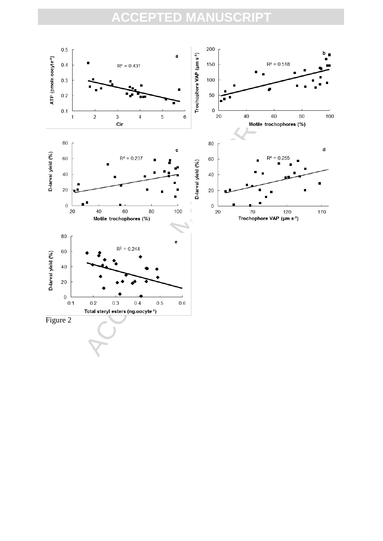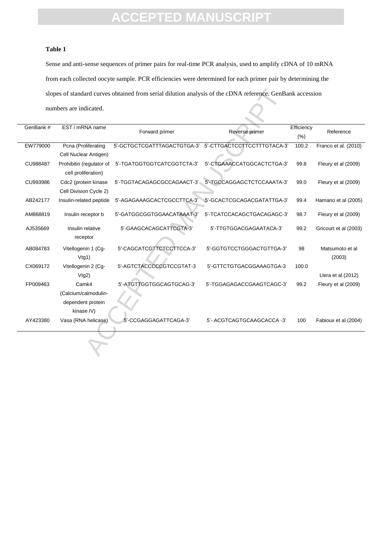#### **Table 1**

Sense and anti-sense sequences of primer pairs for real-time PCR analysis, used to amplify cDNA of 10 mRNA from each collected oocyte sample. PCR efficiencies were determined for each primer pair by determining the slopes of standard curves obtained from serial dilution analysis of the cDNA reference. GenBank accession numbers are indicated.

|           | numbers are indicated.                          |                             |                             |                    |                           |
|-----------|-------------------------------------------------|-----------------------------|-----------------------------|--------------------|---------------------------|
| GenBank # | EST / mRNA name                                 | Forward primer              | Reverse primer              | Efficiency<br>(% ) | Reference                 |
| EW779000  | Pcna (Proliferating                             | 5'-GCTGCTCGATTTAGACTGTGA-3' | 5'-CTTGACTCCTTCCTTTGTACA-3' | 100.2              | Franco et al. (2010)      |
|           | Cell Nuclear Antigen)                           |                             |                             |                    |                           |
| CU988487  | Prohibitin (regulator of<br>cell proliferation) | 5'-TGATGGTGGTCATCGGTCTA-3'  | 5'-CTGAAACCATGGCACTCTGA-3'  | 99.8               | Fleury et al (2009)       |
| CU993986  | Cdc2 (protein kinase<br>Cell Division Cycle 2)  | 5'-TGGTACAGAGCGCCAGAACT-3'  | 5'-TGCCAGGAGCTCTCCAAATA-3'  | 99.0               | Fleury et al (2009)       |
| AB242177  | Insulin-related peptide                         | 5'-AGAGAAAGCACTCGCCTTCA-3'  | 5'-GCACTCGCAGACGATATTGA-3'  | 99.4               | Hamano et al (2005)       |
| AM868819  | Insulin receptor b                              | 5'-GATGGCGGTGGAACATAAAT-3'  | 5'-TCATCCACAGCTGACAGAGC-3'  | 98.7               | Fleury et al (2009)       |
| AJ535669  | Insulin relative<br>receptor                    | 5'-GAAGCACAGCATTCGTA-3'     | 5'-TTGTGGACGAGAATACA-3'     | 99.2               | Gricourt et al (2003)     |
| AB084783  | Vitellogenin 1 (Cg-<br>Vtg1)                    | 5'-CAGCATCGTTCTCCTTCCA-3'   | 5'-GGTGTCCTGGGACTGTTGA-3'   | 98                 | Matsumoto et al<br>(2003) |
| CX069172  | Vitellogenin 2 (Cg-                             | 5'-AGTCTACCCCCGTCCGTAT-3    | 5'-GTTCTGTGACGGAAAGTGA-3    | 100.0              |                           |
|           | $V$ tg $2)$                                     |                             |                             |                    | Llera et al (2012)        |
| FP009463  | Camk4                                           | 5'-ATGTTGGTGGCAGTGCAG-3'    | 5'-TGGAGAGACCGAAGTCAGC-3'   | 99.2               | Fleury et al (2009)       |
|           | (Calcium/calmodulin-                            |                             |                             |                    |                           |
|           | dependent protein                               |                             |                             |                    |                           |
|           | kinase IV)                                      |                             |                             |                    |                           |
| AY423380  | Vasa (RNA helicase)                             | 5'-CCGAGGAGATTCAGA-3'       | 5'- ACGTCAGTGCAAGCACCA -3'  | 100                | Fabioux et al (2004)      |